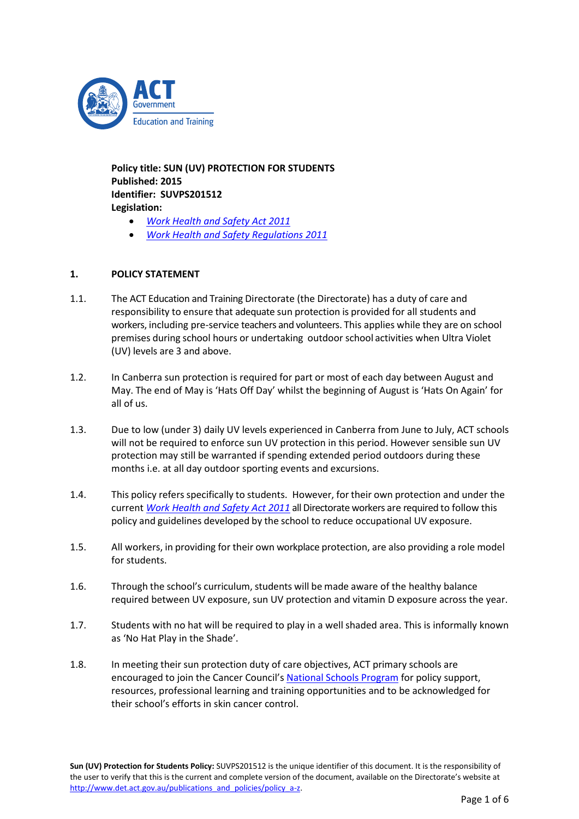

**Policy title: SUN (UV) PROTECTION FOR STUDENTS Published: 2015 Identifier: SUVPS201512 Legislation:**

- *[Work Health and Safety Act](http://www.legislation.act.gov.au/a/2011-35/) 2011*
- *[Work Health and Safety Regulations 2011](http://www.legislation.act.gov.au/sl/2011-36/current/pdf/2011-36.pdf)*

# **1. POLICY STATEMENT**

- 1.1. The ACT Education and Training Directorate (the Directorate) has a duty of care and responsibility to ensure that adequate sun protection is provided for all students and workers, including pre-service teachers and volunteers. This applies while they are on school premises during school hours or undertaking outdoor school activities when Ultra Violet (UV) levels are 3 and above.
- 1.2. In Canberra sun protection is required for part or most of each day between August and May. The end of May is 'Hats Off Day' whilst the beginning of August is 'Hats On Again' for all of us.
- 1.3. Due to low (under 3) daily UV levels experienced in Canberra from June to July, ACT schools will not be required to enforce sun UV protection in this period. However sensible sun UV protection may still be warranted if spending extended period outdoors during these months i.e. at all day outdoor sporting events and excursions.
- 1.4. This policy refers specifically to students. However, for their own protection and under the current *[Work Health and Safety Act](http://www.legislation.act.gov.au/a/2011-35/) 2011* all Directorate workers are required to follow this policy and guidelines developed by the school to reduce occupational UV exposure.
- 1.5. All workers, in providing for their own workplace protection, are also providing a role model for students.
- 1.6. Through the school's curriculum, students will be made aware of the healthy balance required between UV exposure, sun UV protection and vitamin D exposure across the year.
- 1.7. Students with no hat will be required to play in a well shaded area. This is informally known as 'No Hat Play in the Shade'.
- 1.8. In meeting their sun protection duty of care objectives, ACT primary schools are encouraged to join the Cancer Council's [National Schools Program](http://www.actcancer.org/prevention/sunsmart/act-schools-and-early-childhood-services/national-schools-program/) for policy support, resources, professional learning and training opportunities and to be acknowledged for their school's efforts in skin cancer control.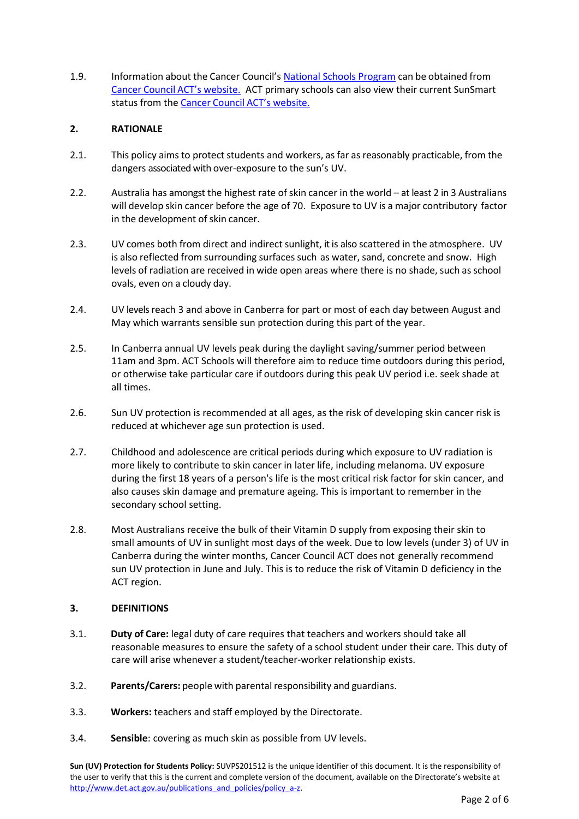1.9. Information about the Cancer Council's [National Schools Program](http://www.actcancer.org/prevention/sunsmart/act-schools-and-early-childhood-services/national-schools-program/) can be obtained from Cancer Council [ACT's website.](http://www.actcancer.org/prevention/sunsmart/skin-cancer-in-australia/) ACT primary schools can also view their current SunSmart status from the Cancer Council [ACT's website.](http://www.actcancer.org/prevention/sunsmart/skin-cancer-in-australia/)

# **2. RATIONALE**

- 2.1. This policy aims to protect students and workers, as far as reasonably practicable, from the dangers associated with over-exposure to the sun's UV.
- 2.2. Australia has amongst the highest rate of skin cancer in the world at least 2 in 3 Australians will develop skin cancer before the age of 70. Exposure to UV is a major contributory factor in the development of skin cancer.
- 2.3. UV comes both from direct and indirect sunlight, it is also scattered in the atmosphere. UV is also reflected from surrounding surfaces such as water, sand, concrete and snow. High levels of radiation are received in wide open areas where there is no shade, such as school ovals, even on a cloudy day.
- 2.4. UV levels reach 3 and above in Canberra for part or most of each day between August and May which warrants sensible sun protection during this part of the year.
- 2.5. In Canberra annual UV levels peak during the daylight saving/summer period between 11am and 3pm. ACT Schools will therefore aim to reduce time outdoors during this period, or otherwise take particular care if outdoors during this peak UV period i.e. seek shade at all times.
- 2.6. Sun UV protection is recommended at all ages, as the risk of developing skin cancer risk is reduced at whichever age sun protection is used.
- 2.7. Childhood and adolescence are critical periods during which exposure to UV radiation is more likely to contribute to skin cancer in later life, including melanoma. UV exposure during the first 18 years of a person's life is the most critical risk factor for skin cancer, and also causes skin damage and premature ageing. This is important to remember in the secondary school setting.
- 2.8. Most Australians receive the bulk of their Vitamin D supply from exposing their skin to small amounts of UV in sunlight most days of the week. Due to low levels (under 3) of UV in Canberra during the winter months, Cancer Council ACT does not generally recommend sun UV protection in June and July. This is to reduce the risk of Vitamin D deficiency in the ACT region.

### **3. DEFINITIONS**

- 3.1. **Duty of Care:** legal duty of care requires that teachers and workers should take all reasonable measures to ensure the safety of a school student under their care. This duty of care will arise whenever a student/teacher-worker relationship exists.
- 3.2. **Parents/Carers:** people with parentalresponsibility and guardians.
- 3.3. **Workers:** teachers and staff employed by the Directorate.
- 3.4. **Sensible**: covering as much skin as possible from UV levels.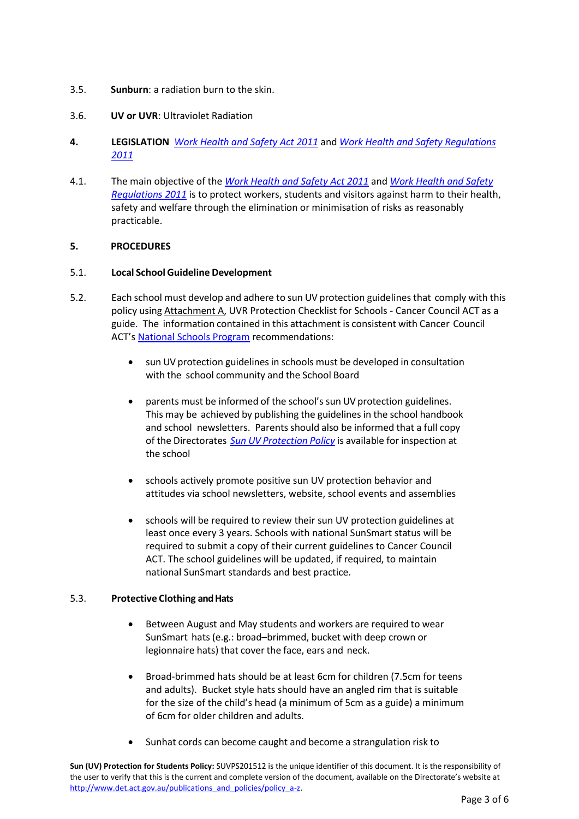- 3.5. **Sunburn**: a radiation burn to the skin.
- 3.6. **UV or UVR**: Ultraviolet Radiation
- **4. LEGISLATION** *[Work Health and Safety Act](http://www.legislation.act.gov.au/a/2011-35/) 2011* and *[Work Health and Safety Regulations](http://www.legislation.act.gov.au/sl/2011-36/current/pdf/2011-36.pdf)  [2011](http://www.legislation.act.gov.au/sl/2011-36/current/pdf/2011-36.pdf)*
- 4.1. The main objective of the *[Work Health and Safety Act](http://www.legislation.act.gov.au/a/2011-35/) 2011* and *[Work Health and Safety](http://www.legislation.act.gov.au/sl/2011-36/current/pdf/2011-36.pdf)  [Regulations 2011](http://www.legislation.act.gov.au/sl/2011-36/current/pdf/2011-36.pdf)* is to protect workers, students and visitors against harm to their health, safety and welfare through the elimination or minimisation of risks as reasonably practicable.

### **5. PROCEDURES**

### 5.1. **Local School Guideline Development**

- 5.2. Each school must develop and adhere to sun UV protection guidelines that comply with this policy using Attachment A, UVR Protection Checklist for Schools - Cancer Council ACT as a guide. The information contained in this attachment is consistent with Cancer Council ACT's [National Schools Program](http://www.actcancer.org/prevention/sunsmart/act-schools-and-early-childhood-services/national-schools-program/) recommendations:
	- sun UV protection guidelines in schools must be developed in consultation with the school community and the School Board
	- parents must be informed of the school's sun UV protection guidelines. This may be achieved by publishing the guidelines in the school handbook and school newsletters. Parents should also be informed that a full copy of the Directorates *Sun UV [Protection](https://index.ed.act.edu.au/our-people/whs/files-whs/SunUVProtectionforStudentsPolicy.docx) Policy* is available for inspection at the school
	- schools actively promote positive sun UV protection behavior and attitudes via school newsletters, website, school events and assemblies
	- schools will be required to review their sun UV protection guidelines at least once every 3 years. Schools with national SunSmart status will be required to submit a copy of their current guidelines to Cancer Council ACT. The school guidelines will be updated, if required, to maintain national SunSmart standards and best practice.

### 5.3. **Protective Clothing and Hats**

- Between August and May students and workers are required to wear SunSmart hats (e.g.: broad–brimmed, bucket with deep crown or legionnaire hats) that cover the face, ears and neck.
- Broad-brimmed hats should be at least 6cm for children (7.5cm for teens and adults). Bucket style hats should have an angled rim that is suitable for the size of the child's head (a minimum of 5cm as a guide) a minimum of 6cm for older children and adults.
- Sunhat cords can become caught and become a strangulation risk to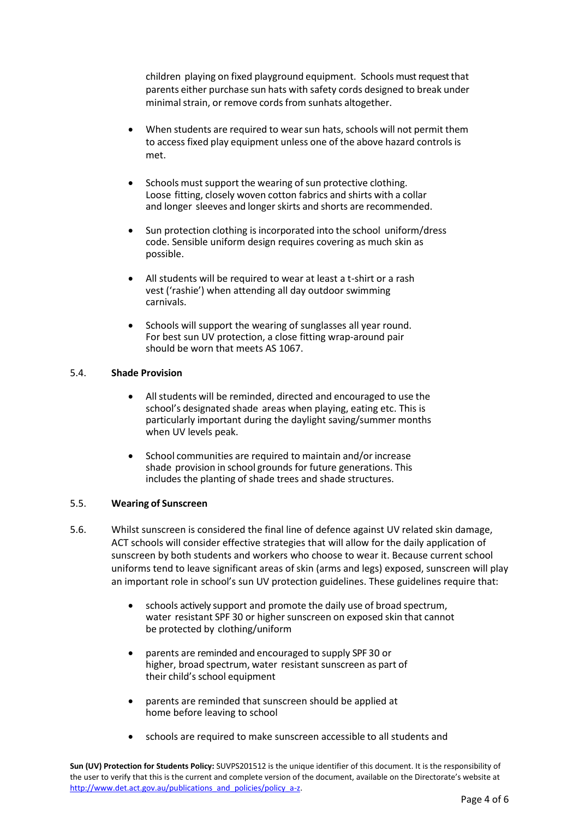children playing on fixed playground equipment. Schools must request that parents either purchase sun hats with safety cords designed to break under minimal strain, or remove cords from sunhats altogether.

- When students are required to wear sun hats, schools will not permit them to access fixed play equipment unless one of the above hazard controlsis met.
- Schools must support the wearing of sun protective clothing. Loose fitting, closely woven cotton fabrics and shirts with a collar and longer sleeves and longer skirts and shorts are recommended.
- Sun protection clothing is incorporated into the school uniform/dress code. Sensible uniform design requires covering as much skin as possible.
- All students will be required to wear at least a t-shirt or a rash vest ('rashie') when attending all day outdoor swimming carnivals.
- Schools will support the wearing of sunglasses all year round. For best sun UV protection, a close fitting wrap-around pair should be worn that meets AS 1067.

### 5.4. **Shade Provision**

- All students will be reminded, directed and encouraged to use the school's designated shade areas when playing, eating etc. This is particularly important during the daylight saving/summer months when UV levels peak.
- School communities are required to maintain and/or increase shade provision in school grounds for future generations. This includes the planting of shade trees and shade structures.

### 5.5. **Wearing of Sunscreen**

- 5.6. Whilst sunscreen is considered the final line of defence against UV related skin damage, ACT schools will consider effective strategies that will allow for the daily application of sunscreen by both students and workers who choose to wear it. Because current school uniforms tend to leave significant areas of skin (arms and legs) exposed, sunscreen will play an important role in school's sun UV protection guidelines. These guidelines require that:
	- schools actively support and promote the daily use of broad spectrum, water resistant SPF 30 or higher sunscreen on exposed skin that cannot be protected by clothing/uniform
	- parents are reminded and encouraged to supply SPF 30 or higher, broad spectrum, water resistant sunscreen as part of their child's school equipment
	- parents are reminded that sunscreen should be applied at home before leaving to school
	- schools are required to make sunscreen accessible to all students and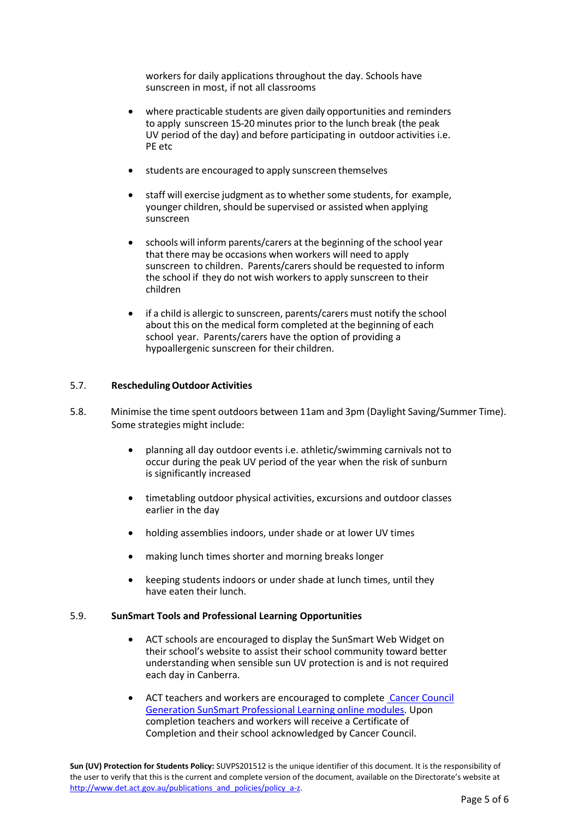workers for daily applications throughout the day. Schools have sunscreen in most, if not all classrooms

- where practicable students are given daily opportunities and reminders to apply sunscreen 15-20 minutes prior to the lunch break (the peak UV period of the day) and before participating in outdoor activities i.e. PE etc
- students are encouraged to apply sunscreen themselves
- staff will exercise judgment as to whether some students, for example, younger children, should be supervised or assisted when applying sunscreen
- schools will inform parents/carers at the beginning of the school year that there may be occasions when workers will need to apply sunscreen to children. Parents/carers should be requested to inform the school if they do not wish workers to apply sunscreen to their children
- if a child is allergic to sunscreen, parents/carers must notify the school about this on the medical form completed at the beginning of each school year. Parents/carers have the option of providing a hypoallergenic sunscreen for their children.

#### 5.7. **ReschedulingOutdoor Activities**

- 5.8. Minimise the time spent outdoors between 11am and 3pm (Daylight Saving/Summer Time). Some strategies might include:
	- planning all day outdoor events i.e. athletic/swimming carnivals not to occur during the peak UV period of the year when the risk of sunburn is significantly increased
	- timetabling outdoor physical activities, excursions and outdoor classes earlier in the day
	- holding assemblies indoors, under shade or at lower UV times
	- making lunch times shorter and morning breaks longer
	- keeping students indoors or under shade at lunch times, until they have eaten their lunch.

#### 5.9. **SunSmart Tools and Professional Learning Opportunities**

- ACT schools are encouraged to display the SunSmart Web Widget on their school's website to assist their school community toward better understanding when sensible sun UV protection is and is not required each day in Canberra.
- ACT teachers and workers are encouraged to complete [Cancer Council](http://www.generationsunsmart.com.au/)  [Generation SunSmart Professional Learning online modules.](http://www.generationsunsmart.com.au/) Upon completion teachers and workers will receive a Certificate of Completion and their school acknowledged by Cancer Council.